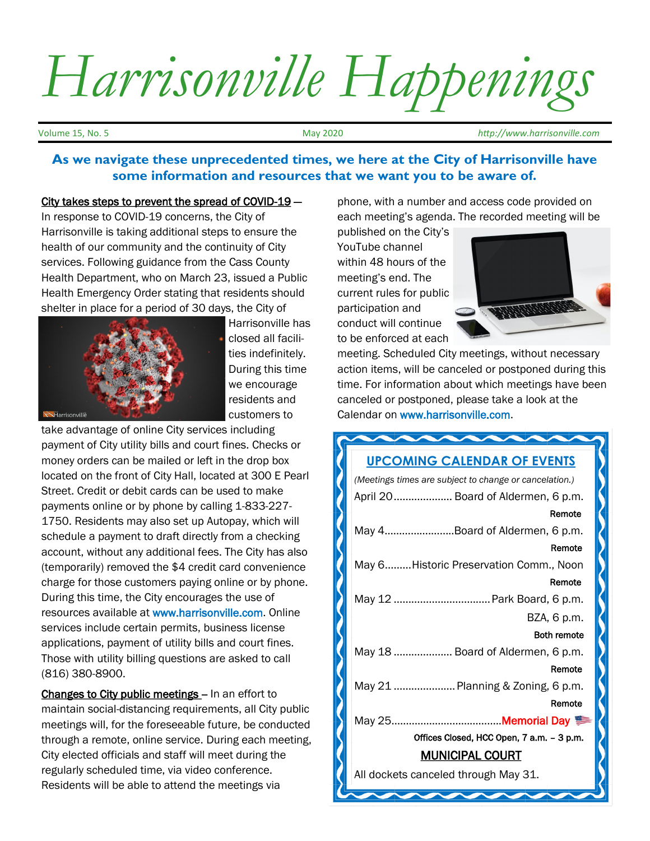## *Harrisonville Happenings*

Volume 15, No. 5 May 2020 *http://www.harrisonville.com*

## **As we navigate these unprecedented times, we here at the City of Harrisonville have some information and resources that we want you to be aware of.**

## City takes steps to prevent the spread of COVID-19 —

In response to COVID-19 concerns, the City of Harrisonville is taking additional steps to ensure the health of our community and the continuity of City services. Following guidance from the Cass County Health Department, who on March 23, issued a Public Health Emergency Order stating that residents should shelter in place for a period of 30 days, the City of



Harrisonville has closed all facilities indefinitely. During this time we encourage residents and customers to

take advantage of online City services including payment of City utility bills and court fines. Checks or money orders can be mailed or left in the drop box located on the front of City Hall, located at 300 E Pearl Street. Credit or debit cards can be used to make payments online or by phone by calling 1-833-227- 1750. Residents may also set up Autopay, which will schedule a payment to draft directly from a checking account, without any additional fees. The City has also (temporarily) removed the \$4 credit card convenience charge for those customers paying online or by phone. During this time, the City encourages the use of resources available at www.harrisonville.com. Online services include certain permits, business license applications, payment of utility bills and court fines. Those with utility billing questions are asked to call (816) 380-8900.

Changes to City public meetings - In an effort to maintain social-distancing requirements, all City public meetings will, for the foreseeable future, be conducted through a remote, online service. During each meeting, City elected officials and staff will meet during the regularly scheduled time, via video conference. Residents will be able to attend the meetings via

phone, with a number and access code provided on each meeting's agenda. The recorded meeting will be

published on the City's YouTube channel within 48 hours of the meeting's end. The current rules for public participation and conduct will continue to be enforced at each



meeting. Scheduled City meetings, without necessary action items, will be canceled or postponed during this time. For information about which meetings have been canceled or postponed, please take a look at the Calendar on www.harrisonville.com.

## **ANNANNA UPCOMING CALENDAR OF EVENTS** *(Meetings times are subject to change or cancelation.)* April 20.................... Board of Aldermen, 6 p.m. Remote May 4…………….……..Board of Aldermen, 6 p.m. Remote May 6.........Historic Preservation Comm., Noon Remote May 12 .................................Park Board, 6 p.m. BZA, 6 p.m. Both remote May 18 .................... Board of Aldermen, 6 p.m. Remote May 21 .....................Planning & Zoning, 6 p.m. Remote May 25………………………………..Memorial Day Offices Closed, HCC Open, 7 a.m. – 3 p.m. MUNICIPAL COURT All dockets canceled through May 31.